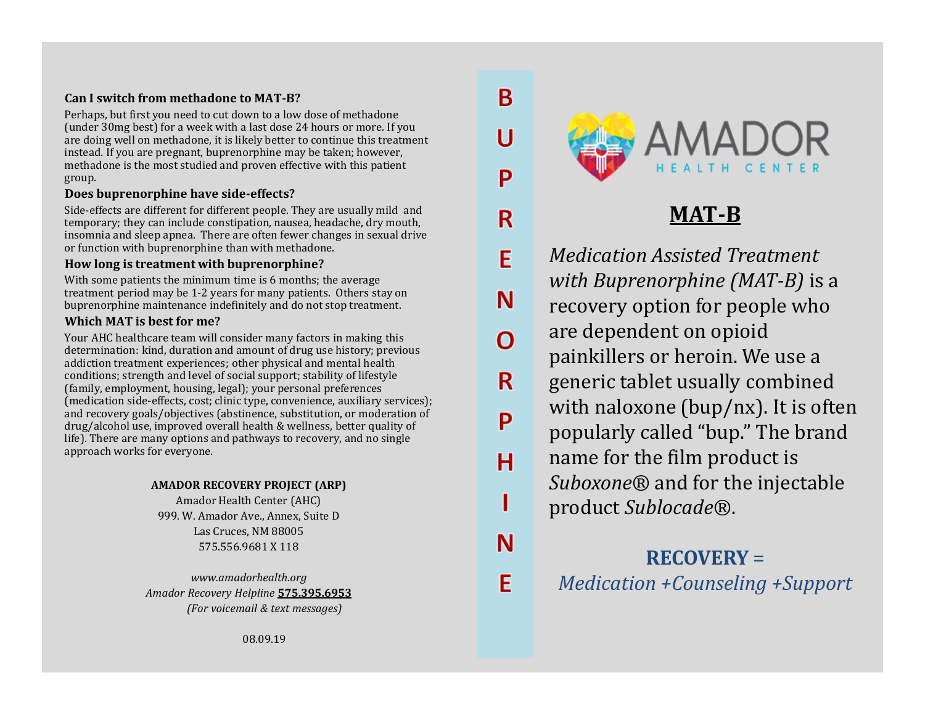# Can I switch from methadone to MAT-B?

Perhaps, but first you need to cut down to a low dose of methadone (under 30mg best) for a week with a last dose 24 hours or more. If you<br>are doing well on methadone, it is likely better to continue this treatment are doing well on methadone, it is likely better to continue this treatment instead. If you are pregnant, buprenorphine may be taken; however, methadone is the most studied and proven effective with this patient group.

#### Does buprenorphine have side-effects?

Side-effects are different for different people. They are usually mild and<br>temporary: they can include constination, nausea, headache, dry mouth. temporary; they can include constipation, nausea, headache, dry mouth, insomnia and sleep apnea. There are often fewer changes in sexual drive or function with buprenorphine than with methadone.

# How long is treatment with buprenorphine?

With some patients the minimum time is 6 months; the average treatment period may be 1-2 years for many patients. Others stay on buprenorphine maintenance indefinitely and do not stop treatment.

#### Which MAT is best for me?

Your AHC healthcare team will consider many factors in making this Your AHC healthcare team will consider many factors in making this<br>determination: kind, duration and amount of drug use history; previous addiction treatment experiences; other physical and mental health conditions; strength and level of social support; stability of lifestyle (family, employment, housing, legal); your personal preferences (medication side-effects, cost; clinic type, convenience, auxiliary services); and recovery goals/objectives (abstinence, substitution, or moderation of  $\begin{array}{c} \text{Q} \\ \text{P} \end{array}$ drug/alcohol use, improved overall health & wellness, better quality of life). There are many options and pathways to recovery, and no single approach works for everyone.

#### AMADOR RECOVERY PROJECT (ARP)

Amador Health Center (AHC) 999. W. Amador Ave., Annex, Suite D Las Cruces, NM 88005<br>575 556 9681 X 118 575.556.9681 X 118

www.amadorhealth.org Amador Recovery Helpline 575.395.6953 (For voicemail & text messages)

B

P

E

N

R

н



MAT-B

Medication Assisted Treatment with Buprenorphine (MAT-B) is a recovery option for people who are dependent on opioid painkillers or heroin. We use a generic tablet usually combined with naloxone (bup/nx). It is often popularly called "bup." The brand name for the film product is Suboxone® and for the injectable product Sublocade®.

# RECOVERY =

Medication +Counseling +Support

08.09.19